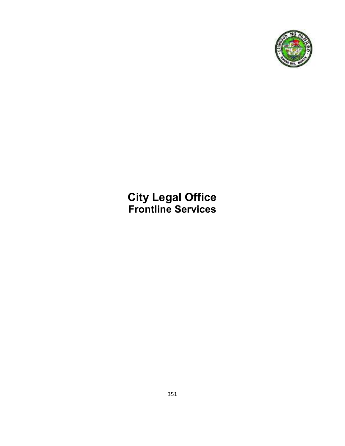

**City Legal Office Frontline Services**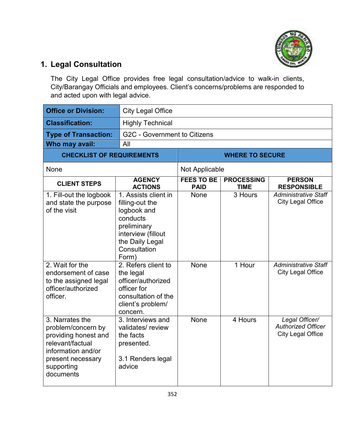

## **1. Legal Consultation**

The City Legal Office provides free legal consultation/advice to walk-in clients, City/Barangay Officials and employees. Client's concerns/problems are responded to and acted upon with legal advice.

| <b>Office or Division:</b>                                                                                                                              | <b>City Legal Office</b>                                                                                                                            |                                  |                                  |                                                                         |
|---------------------------------------------------------------------------------------------------------------------------------------------------------|-----------------------------------------------------------------------------------------------------------------------------------------------------|----------------------------------|----------------------------------|-------------------------------------------------------------------------|
| <b>Classification:</b>                                                                                                                                  | <b>Highly Technical</b>                                                                                                                             |                                  |                                  |                                                                         |
| <b>Type of Transaction:</b>                                                                                                                             | G2C - Government to Citizens                                                                                                                        |                                  |                                  |                                                                         |
| Who may avail:                                                                                                                                          | All                                                                                                                                                 |                                  |                                  |                                                                         |
| <b>CHECKLIST OF REQUIREMENTS</b>                                                                                                                        |                                                                                                                                                     | <b>WHERE TO SECURE</b>           |                                  |                                                                         |
| None                                                                                                                                                    |                                                                                                                                                     | Not Applicable                   |                                  |                                                                         |
| <b>CLIENT STEPS</b>                                                                                                                                     | <b>AGENCY</b><br><b>ACTIONS</b>                                                                                                                     | <b>FEES TO BE</b><br><b>PAID</b> | <b>PROCESSING</b><br><b>TIME</b> | <b>PERSON</b><br><b>RESPONSIBLE</b>                                     |
| 1. Fill-out the logbook<br>and state the purpose<br>of the visit                                                                                        | 1. Assists client in<br>filling-out the<br>logbook and<br>conducts<br>preliminary<br>interview (fillout<br>the Daily Legal<br>Consultation<br>Form) | None                             | $\overline{3}$ Hours             | <b>Administrative Staff</b><br><b>City Legal Office</b>                 |
| 2. Wait for the<br>endorsement of case<br>to the assigned legal<br>officer/authorized<br>officer.                                                       | 2. Refers client to<br>the legal<br>officer/authorized<br>officer for<br>consultation of the<br>client's problem/<br>concern.                       | <b>None</b>                      | 1 Hour                           | <b>Administrative Staff</b><br><b>City Legal Office</b>                 |
| 3. Narrates the<br>problem/concern by<br>providing honest and<br>relevant/factual<br>information and/or<br>present necessary<br>supporting<br>documents | 3. Interviews and<br>validates/review<br>the facts<br>presented.<br>3.1 Renders legal<br>advice                                                     | None                             | 4 Hours                          | Legal Officer/<br><b>Authorized Officer</b><br><b>City Legal Office</b> |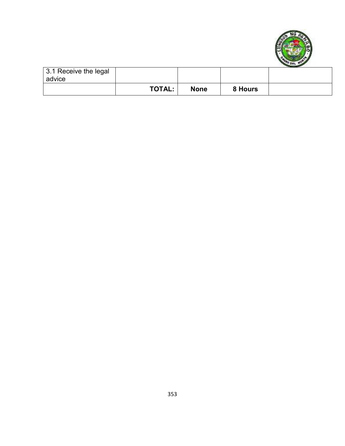

| 3.1 Receive the legal |               |             |         |  |
|-----------------------|---------------|-------------|---------|--|
| advice                |               |             |         |  |
|                       | <b>TOTAL:</b> | <b>None</b> | 8 Hours |  |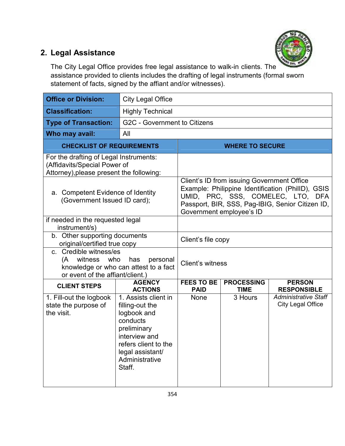

## **2. Legal Assistance**

The City Legal Office provides free legal assistance to walk-in clients. The assistance provided to clients includes the drafting of legal instruments (formal sworn statement of facts, signed by the affiant and/or witnesses).

| <b>Office or Division:</b>                                                                                                               | <b>City Legal Office</b>                                                                                                                                                   |                                                                                                                                                                                                                      |                                  |                                                         |
|------------------------------------------------------------------------------------------------------------------------------------------|----------------------------------------------------------------------------------------------------------------------------------------------------------------------------|----------------------------------------------------------------------------------------------------------------------------------------------------------------------------------------------------------------------|----------------------------------|---------------------------------------------------------|
| <b>Classification:</b>                                                                                                                   | <b>Highly Technical</b>                                                                                                                                                    |                                                                                                                                                                                                                      |                                  |                                                         |
| <b>Type of Transaction:</b>                                                                                                              | G2C - Government to Citizens                                                                                                                                               |                                                                                                                                                                                                                      |                                  |                                                         |
| Who may avail:                                                                                                                           | All                                                                                                                                                                        |                                                                                                                                                                                                                      |                                  |                                                         |
| <b>CHECKLIST OF REQUIREMENTS</b>                                                                                                         |                                                                                                                                                                            | <b>WHERE TO SECURE</b>                                                                                                                                                                                               |                                  |                                                         |
| For the drafting of Legal Instruments:<br>(Affidavits/Special Power of<br>Attorney), please present the following:                       |                                                                                                                                                                            |                                                                                                                                                                                                                      |                                  |                                                         |
| a. Competent Evidence of Identity<br>(Government Issued ID card);                                                                        |                                                                                                                                                                            | Client's ID from issuing Government Office<br>Example: Philippine Identification (PhilID), GSIS<br>UMID, PRC, SSS, COMELEC, LTO, DFA<br>Passport, BIR, SSS, Pag-IBIG, Senior Citizen ID,<br>Government employee's ID |                                  |                                                         |
| if needed in the requested legal<br>instrument/s)                                                                                        |                                                                                                                                                                            |                                                                                                                                                                                                                      |                                  |                                                         |
| b. Other supporting documents<br>original/certified true copy                                                                            |                                                                                                                                                                            | Client's file copy                                                                                                                                                                                                   |                                  |                                                         |
| c. Credible witness/es<br>(A witness who<br>has<br>personal<br>knowledge or who can attest to a fact<br>or event of the affiant/client.) |                                                                                                                                                                            | Client's witness                                                                                                                                                                                                     |                                  |                                                         |
| <b>CLIENT STEPS</b>                                                                                                                      | <b>AGENCY</b><br><b>ACTIONS</b>                                                                                                                                            | <b>FEES TO BE</b><br><b>PAID</b>                                                                                                                                                                                     | <b>PROCESSING</b><br><b>TIME</b> | <b>PERSON</b><br><b>RESPONSIBLE</b>                     |
| 1. Fill-out the logbook<br>state the purpose of<br>the visit.                                                                            | 1. Assists client in<br>filling-out the<br>logbook and<br>conducts<br>preliminary<br>interview and<br>refers client to the<br>legal assistant/<br>Administrative<br>Staff. | None                                                                                                                                                                                                                 | 3 Hours                          | <b>Administrative Staff</b><br><b>City Legal Office</b> |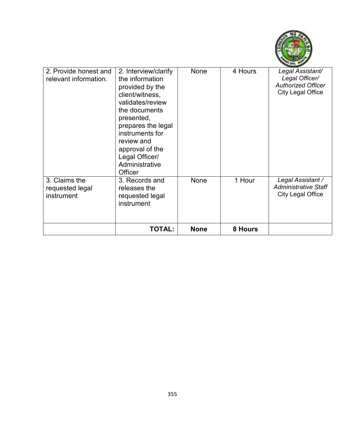

| 2. Provide honest and<br>relevant information. | 2. Interview/clarify<br>the information<br>provided by the<br>client/witness,<br>validates/review<br>the documents<br>presented,<br>prepares the legal<br>instruments for<br>review and<br>approval of the<br>Legal Officer/<br>Administrative<br>Officer | <b>None</b> | 4 Hours | Legal Assistant/<br>Legal Officer/<br><b>Authorized Officer</b><br><b>City Legal Office</b> |
|------------------------------------------------|-----------------------------------------------------------------------------------------------------------------------------------------------------------------------------------------------------------------------------------------------------------|-------------|---------|---------------------------------------------------------------------------------------------|
| 3. Claims the<br>requested legal<br>instrument | 3. Records and<br>releases the<br>requested legal<br>instrument                                                                                                                                                                                           | None        | 1 Hour  | Legal Assistant /<br><b>Administrative Staff</b><br><b>City Legal Office</b>                |
|                                                | TOTAL:                                                                                                                                                                                                                                                    | <b>None</b> | 8 Hours |                                                                                             |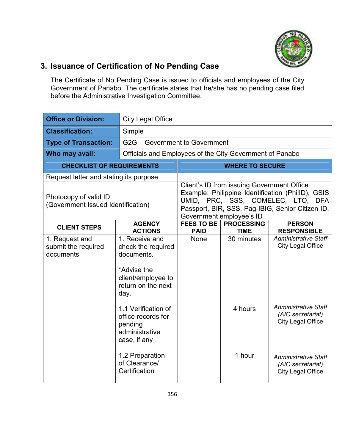

## **3. Issuance of Certification of No Pending Case**

The Certificate of No Pending Case is issued to officials and employees of the City Government of Panabo. The certificate states that he/she has no pending case filed before the Administrative Investigation Committee.

| <b>Office or Division:</b>                                  | <b>City Legal Office</b>                                                                                              |                                                                                                                                                                                                                      |                                  |                                                                              |  |
|-------------------------------------------------------------|-----------------------------------------------------------------------------------------------------------------------|----------------------------------------------------------------------------------------------------------------------------------------------------------------------------------------------------------------------|----------------------------------|------------------------------------------------------------------------------|--|
| <b>Classification:</b>                                      | Simple                                                                                                                |                                                                                                                                                                                                                      |                                  |                                                                              |  |
| <b>Type of Transaction:</b>                                 | G2G - Government to Government                                                                                        |                                                                                                                                                                                                                      |                                  |                                                                              |  |
| Who may avail:                                              |                                                                                                                       | Officials and Employees of the City Government of Panabo                                                                                                                                                             |                                  |                                                                              |  |
| <b>CHECKLIST OF REQUIREMENTS</b>                            |                                                                                                                       | <b>WHERE TO SECURE</b>                                                                                                                                                                                               |                                  |                                                                              |  |
| Request letter and stating its purpose                      |                                                                                                                       |                                                                                                                                                                                                                      |                                  |                                                                              |  |
| Photocopy of valid ID<br>(Government Issued Identification) |                                                                                                                       | Client's ID from issuing Government Office<br>Example: Philippine Identification (PhilID), GSIS<br>UMID, PRC, SSS, COMELEC, LTO, DFA<br>Passport, BIR, SSS, Pag-IBIG, Senior Citizen ID,<br>Government employee's ID |                                  |                                                                              |  |
| <b>CLIENT STEPS</b>                                         | <b>AGENCY</b><br><b>ACTIONS</b>                                                                                       | <b>FEES TO BE</b><br><b>PAID</b>                                                                                                                                                                                     | <b>PROCESSING</b><br><b>TIME</b> | <b>PERSON</b><br><b>RESPONSIBLE</b>                                          |  |
| 1. Request and<br>submit the required<br>documents          | 1. Receive and<br>check the required<br>documents.<br>*Advise the<br>client/employee to<br>return on the next<br>day. | None                                                                                                                                                                                                                 | 30 minutes                       | <b>Administrative Staff</b><br><b>City Legal Office</b>                      |  |
|                                                             | 1.1 Verification of<br>office records for<br>pending<br>administrative<br>case, if any                                |                                                                                                                                                                                                                      | 4 hours                          | <b>Administrative Staff</b><br>(AIC secretariat)<br><b>City Legal Office</b> |  |
|                                                             | 1.2 Preparation<br>of Clearance/<br>Certification                                                                     |                                                                                                                                                                                                                      | 1 hour                           | <b>Administrative Staff</b><br>(AIC secretariat)<br><b>City Legal Office</b> |  |